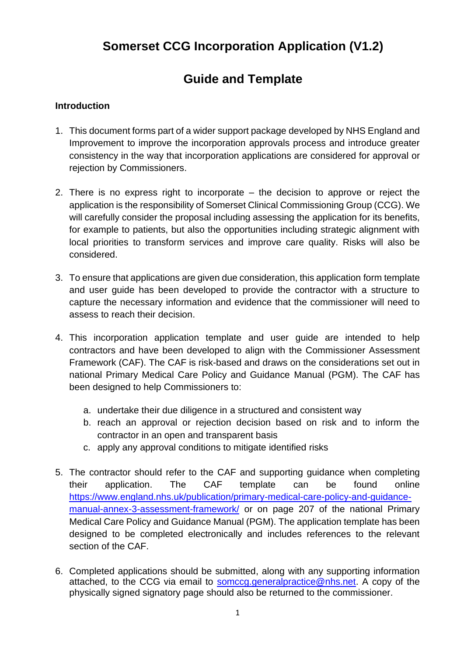# **Somerset CCG Incorporation Application (V1.2)**

# **Guide and Template**

# **Introduction**

- 1. This document forms part of a wider support package developed by NHS England and Improvement to improve the incorporation approvals process and introduce greater consistency in the way that incorporation applications are considered for approval or rejection by Commissioners.
- 2. There is no express right to incorporate the decision to approve or reject the application is the responsibility of Somerset Clinical Commissioning Group (CCG). We will carefully consider the proposal including assessing the application for its benefits, for example to patients, but also the opportunities including strategic alignment with local priorities to transform services and improve care quality. Risks will also be considered.
- 3. To ensure that applications are given due consideration, this application form template and user guide has been developed to provide the contractor with a structure to capture the necessary information and evidence that the commissioner will need to assess to reach their decision.
- 4. This incorporation application template and user guide are intended to help contractors and have been developed to align with the Commissioner Assessment Framework (CAF). The CAF is risk-based and draws on the considerations set out in national Primary Medical Care Policy and Guidance Manual (PGM). The CAF has been designed to help Commissioners to:
	- a. undertake their due diligence in a structured and consistent way
	- b. reach an approval or rejection decision based on risk and to inform the contractor in an open and transparent basis
	- c. apply any approval conditions to mitigate identified risks
- 5. The contractor should refer to the CAF and supporting guidance when completing their application. The CAF template can be found online [https://www.england.nhs.uk/publication/primary-medical-care-policy-and-guidance](https://www.england.nhs.uk/publication/primary-medical-care-policy-and-guidance-manual-annex-3-assessment-framework/)[manual-annex-3-assessment-framework/](https://www.england.nhs.uk/publication/primary-medical-care-policy-and-guidance-manual-annex-3-assessment-framework/) or on page 207 of the national Primary Medical Care Policy and Guidance Manual (PGM). The application template has been designed to be completed electronically and includes references to the relevant section of the CAF.
- 6. Completed applications should be submitted, along with any supporting information attached, to the CCG via email to somccg general practice @nhs.net. A copy of the physically signed signatory page should also be returned to the commissioner.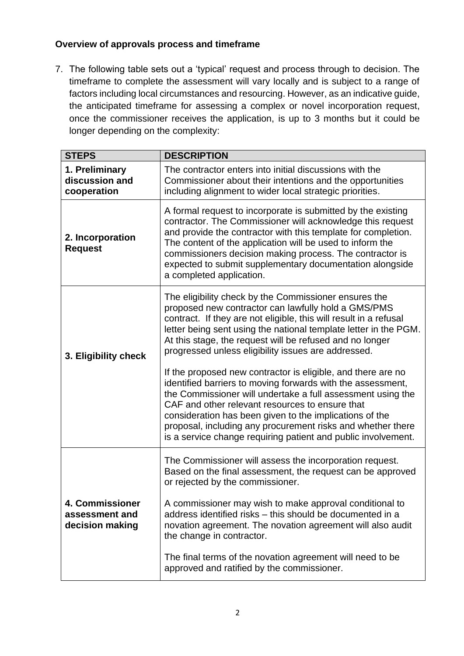# **Overview of approvals process and timeframe**

7. The following table sets out a 'typical' request and process through to decision. The timeframe to complete the assessment will vary locally and is subject to a range of factors including local circumstances and resourcing. However, as an indicative guide, the anticipated timeframe for assessing a complex or novel incorporation request, once the commissioner receives the application, is up to 3 months but it could be longer depending on the complexity:

| <b>STEPS</b>                                         | <b>DESCRIPTION</b>                                                                                                                                                                                                                                                                                                                                                                                                                                                                                                                                                                                                                                                                                                                                                                                                   |
|------------------------------------------------------|----------------------------------------------------------------------------------------------------------------------------------------------------------------------------------------------------------------------------------------------------------------------------------------------------------------------------------------------------------------------------------------------------------------------------------------------------------------------------------------------------------------------------------------------------------------------------------------------------------------------------------------------------------------------------------------------------------------------------------------------------------------------------------------------------------------------|
| 1. Preliminary<br>discussion and<br>cooperation      | The contractor enters into initial discussions with the<br>Commissioner about their intentions and the opportunities<br>including alignment to wider local strategic priorities.                                                                                                                                                                                                                                                                                                                                                                                                                                                                                                                                                                                                                                     |
| 2. Incorporation<br><b>Request</b>                   | A formal request to incorporate is submitted by the existing<br>contractor. The Commissioner will acknowledge this request<br>and provide the contractor with this template for completion.<br>The content of the application will be used to inform the<br>commissioners decision making process. The contractor is<br>expected to submit supplementary documentation alongside<br>a completed application.                                                                                                                                                                                                                                                                                                                                                                                                         |
| 3. Eligibility check                                 | The eligibility check by the Commissioner ensures the<br>proposed new contractor can lawfully hold a GMS/PMS<br>contract. If they are not eligible, this will result in a refusal<br>letter being sent using the national template letter in the PGM.<br>At this stage, the request will be refused and no longer<br>progressed unless eligibility issues are addressed.<br>If the proposed new contractor is eligible, and there are no<br>identified barriers to moving forwards with the assessment,<br>the Commissioner will undertake a full assessment using the<br>CAF and other relevant resources to ensure that<br>consideration has been given to the implications of the<br>proposal, including any procurement risks and whether there<br>is a service change requiring patient and public involvement. |
| 4. Commissioner<br>assessment and<br>decision making | The Commissioner will assess the incorporation request.<br>Based on the final assessment, the request can be approved<br>or rejected by the commissioner.<br>A commissioner may wish to make approval conditional to<br>address identified risks - this should be documented in a<br>novation agreement. The novation agreement will also audit<br>the change in contractor.<br>The final terms of the novation agreement will need to be<br>approved and ratified by the commissioner.                                                                                                                                                                                                                                                                                                                              |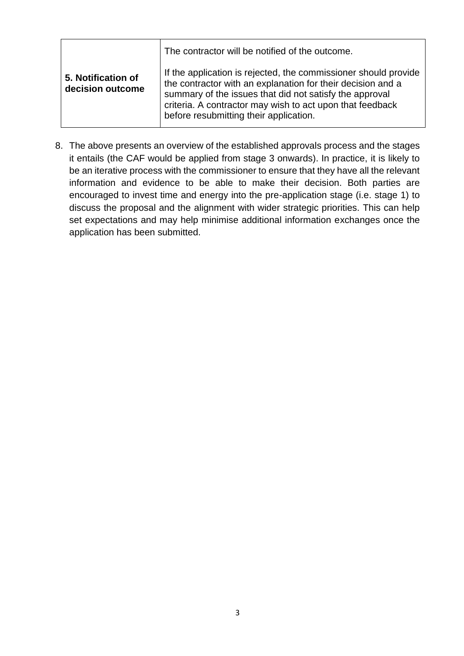|                                        | The contractor will be notified of the outcome.                                                                                                                                                                                                                                                  |
|----------------------------------------|--------------------------------------------------------------------------------------------------------------------------------------------------------------------------------------------------------------------------------------------------------------------------------------------------|
| 5. Notification of<br>decision outcome | If the application is rejected, the commissioner should provide<br>the contractor with an explanation for their decision and a<br>summary of the issues that did not satisfy the approval<br>criteria. A contractor may wish to act upon that feedback<br>before resubmitting their application. |

8. The above presents an overview of the established approvals process and the stages it entails (the CAF would be applied from stage 3 onwards). In practice, it is likely to be an iterative process with the commissioner to ensure that they have all the relevant information and evidence to be able to make their decision. Both parties are encouraged to invest time and energy into the pre-application stage (i.e. stage 1) to discuss the proposal and the alignment with wider strategic priorities. This can help set expectations and may help minimise additional information exchanges once the application has been submitted.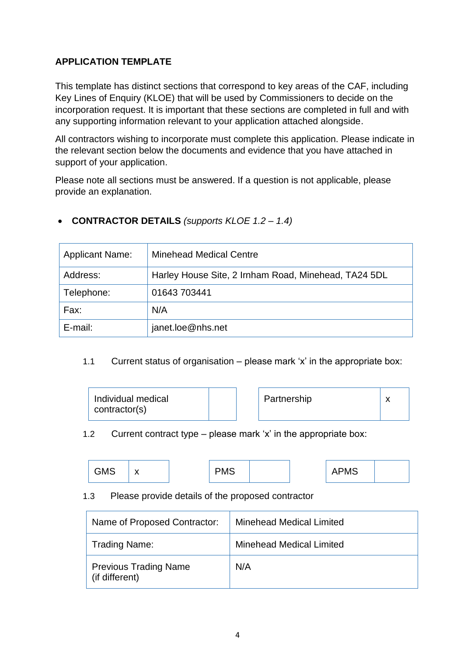# **APPLICATION TEMPLATE**

This template has distinct sections that correspond to key areas of the CAF, including Key Lines of Enquiry (KLOE) that will be used by Commissioners to decide on the incorporation request. It is important that these sections are completed in full and with any supporting information relevant to your application attached alongside.

All contractors wishing to incorporate must complete this application. Please indicate in the relevant section below the documents and evidence that you have attached in support of your application.

Please note all sections must be answered. If a question is not applicable, please provide an explanation.

| <b>Applicant Name:</b> | <b>Minehead Medical Centre</b>                       |
|------------------------|------------------------------------------------------|
| Address:               | Harley House Site, 2 Irnham Road, Minehead, TA24 5DL |
| Telephone:             | 01643 703441                                         |
| Fax:                   | N/A                                                  |
| E-mail:                | janet.loe@nhs.net                                    |

# • **CONTRACTOR DETAILS** *(supports KLOE 1.2 – 1.4)*

## 1.1 Current status of organisation – please mark 'x' in the appropriate box:

| Individual medical | Partnership |  |
|--------------------|-------------|--|
| contractor(s)      |             |  |

1.2 Current contract type – please mark 'x' in the appropriate box:

| <b>GMS</b><br>. .<br>- - | PMS |  | APMS |
|--------------------------|-----|--|------|
|--------------------------|-----|--|------|

#### 1.3 Please provide details of the proposed contractor

| Name of Proposed Contractor:                   | <b>Minehead Medical Limited</b> |
|------------------------------------------------|---------------------------------|
| <b>Trading Name:</b>                           | <b>Minehead Medical Limited</b> |
| <b>Previous Trading Name</b><br>(if different) | N/A                             |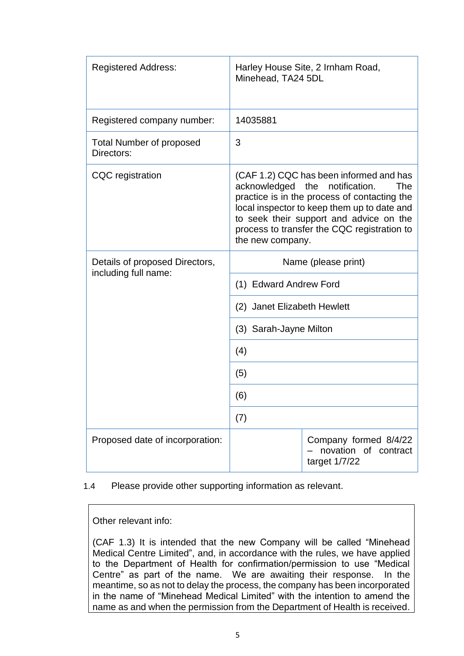| <b>Registered Address:</b>                             | Minehead, TA24 5DL          | Harley House Site, 2 Irnham Road,                                                                                                                                                                                                                                                |  |
|--------------------------------------------------------|-----------------------------|----------------------------------------------------------------------------------------------------------------------------------------------------------------------------------------------------------------------------------------------------------------------------------|--|
| Registered company number:                             | 14035881                    |                                                                                                                                                                                                                                                                                  |  |
| <b>Total Number of proposed</b><br>Directors:          | 3                           |                                                                                                                                                                                                                                                                                  |  |
| <b>CQC</b> registration                                | the new company.            | (CAF 1.2) CQC has been informed and has<br>acknowledged the notification.<br><b>The</b><br>practice is in the process of contacting the<br>local inspector to keep them up to date and<br>to seek their support and advice on the<br>process to transfer the CQC registration to |  |
| Details of proposed Directors,<br>including full name: | Name (please print)         |                                                                                                                                                                                                                                                                                  |  |
|                                                        | (1) Edward Andrew Ford      |                                                                                                                                                                                                                                                                                  |  |
|                                                        | (2) Janet Elizabeth Hewlett |                                                                                                                                                                                                                                                                                  |  |
|                                                        | (3) Sarah-Jayne Milton      |                                                                                                                                                                                                                                                                                  |  |
|                                                        | (4)                         |                                                                                                                                                                                                                                                                                  |  |
|                                                        | (5)                         |                                                                                                                                                                                                                                                                                  |  |
|                                                        | (6)                         |                                                                                                                                                                                                                                                                                  |  |
|                                                        | (7)                         |                                                                                                                                                                                                                                                                                  |  |
| Proposed date of incorporation:                        |                             | Company formed 8/4/22<br>novation of contract<br>target 1/7/22                                                                                                                                                                                                                   |  |

1.4 Please provide other supporting information as relevant.

Other relevant info:

(CAF 1.3) It is intended that the new Company will be called "Minehead Medical Centre Limited", and, in accordance with the rules, we have applied to the Department of Health for confirmation/permission to use "Medical Centre" as part of the name. We are awaiting their response. In the meantime, so as not to delay the process, the company has been incorporated in the name of "Minehead Medical Limited" with the intention to amend the name as and when the permission from the Department of Health is received.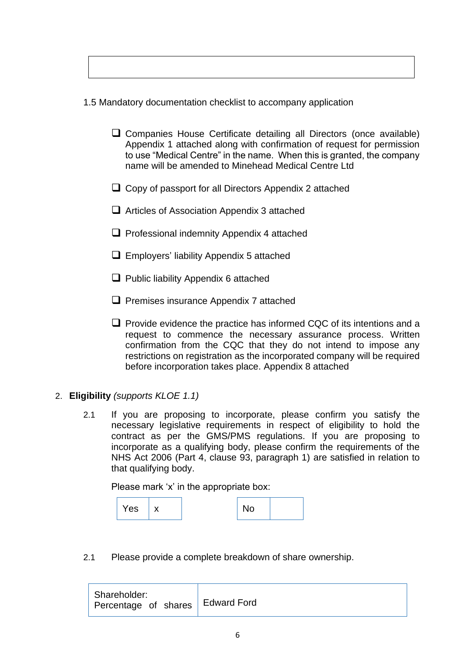1.5 Mandatory documentation checklist to accompany application

- ❑ Companies House Certificate detailing all Directors (once available) Appendix 1 attached along with confirmation of request for permission to use "Medical Centre" in the name. When this is granted, the company name will be amended to Minehead Medical Centre Ltd
- ❑ Copy of passport for all Directors Appendix 2 attached
- ❑ Articles of Association Appendix 3 attached
- ❑ Professional indemnity Appendix 4 attached
- ❑ Employers' liability Appendix 5 attached
- ❑ Public liability Appendix 6 attached
- ❑ Premises insurance Appendix 7 attached
- ❑ Provide evidence the practice has informed CQC of its intentions and a request to commence the necessary assurance process. Written confirmation from the CQC that they do not intend to impose any restrictions on registration as the incorporated company will be required before incorporation takes place. Appendix 8 attached
- 2. **Eligibility** *(supports KLOE 1.1)*
	- 2.1 If you are proposing to incorporate, please confirm you satisfy the necessary legislative requirements in respect of eligibility to hold the contract as per the GMS/PMS regulations. If you are proposing to incorporate as a qualifying body, please confirm the requirements of the NHS Act 2006 (Part 4, clause 93, paragraph 1) are satisfied in relation to that qualifying body.

Please mark 'x' in the appropriate box:

| Yes |  |  | . U |  |
|-----|--|--|-----|--|
|-----|--|--|-----|--|

2.1 Please provide a complete breakdown of share ownership.

| Shareholder:<br>Percentage of shares   Edward Ford |  |
|----------------------------------------------------|--|
|----------------------------------------------------|--|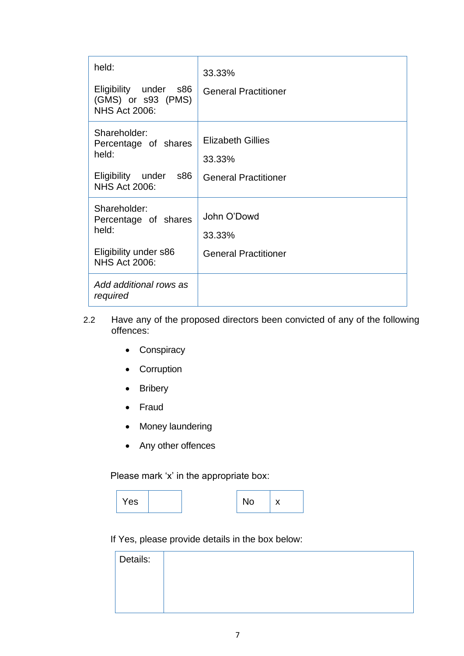| held:<br>Eligibility under s86<br>(GMS) or s93 (PMS)<br><b>NHS Act 2006:</b>                             | 33.33%<br><b>General Practitioner</b>                             |
|----------------------------------------------------------------------------------------------------------|-------------------------------------------------------------------|
| Shareholder:<br>Percentage of shares<br>held:<br>Eligibility under<br><b>s86</b><br><b>NHS Act 2006:</b> | <b>Elizabeth Gillies</b><br>33.33%<br><b>General Practitioner</b> |
| Shareholder:<br>Percentage of shares<br>held:<br>Eligibility under s86<br><b>NHS Act 2006:</b>           | John O'Dowd<br>33.33%<br><b>General Practitioner</b>              |
| Add additional rows as<br>required                                                                       |                                                                   |

- 2.2 Have any of the proposed directors been convicted of any of the following offences:
	- Conspiracy
	- Corruption
	- Bribery
	- Fraud
	- Money laundering
	- Any other offences

Please mark 'x' in the appropriate box:

| Yes |  |  | N٥ | $\cdot$ |
|-----|--|--|----|---------|
|-----|--|--|----|---------|

If Yes, please provide details in the box below:

| Details: |  |
|----------|--|
|          |  |
|          |  |
|          |  |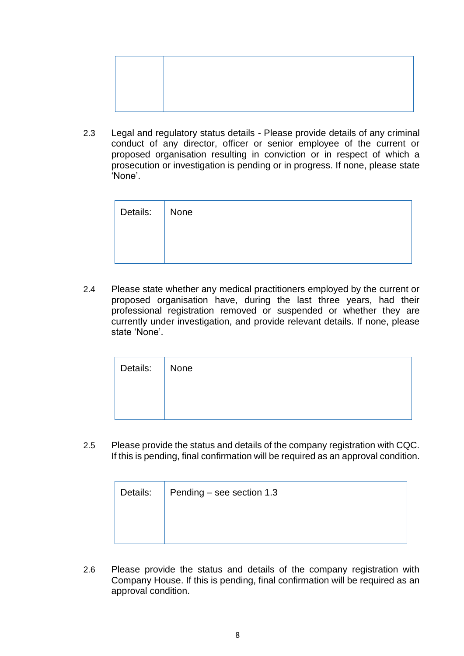2.3 Legal and regulatory status details - Please provide details of any criminal conduct of any director, officer or senior employee of the current or proposed organisation resulting in conviction or in respect of which a prosecution or investigation is pending or in progress. If none, please state 'None'.

| Details: None |  |
|---------------|--|
|               |  |
|               |  |

2.4 Please state whether any medical practitioners employed by the current or proposed organisation have, during the last three years, had their professional registration removed or suspended or whether they are currently under investigation, and provide relevant details. If none, please state 'None'.

| Details: None |  |
|---------------|--|
|               |  |
|               |  |

2.5 Please provide the status and details of the company registration with CQC. If this is pending, final confirmation will be required as an approval condition.

| Details: | Pending – see section 1.3 |  |  |
|----------|---------------------------|--|--|
|          |                           |  |  |
|          |                           |  |  |

2.6 Please provide the status and details of the company registration with Company House. If this is pending, final confirmation will be required as an approval condition.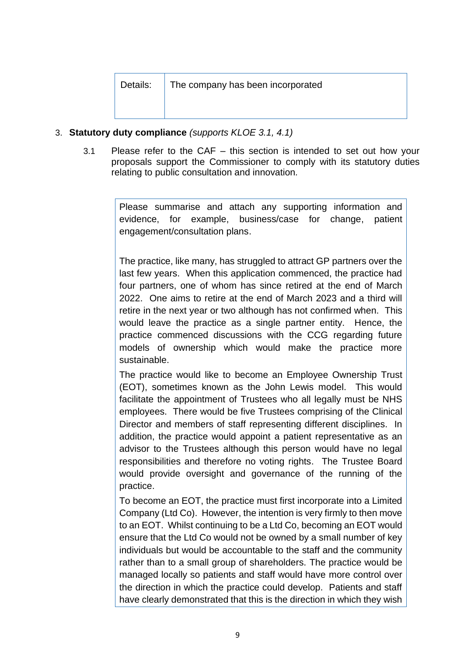Details: The company has been incorporated

#### 3. **Statutory duty compliance** *(supports KLOE 3.1, 4.1)*

3.1 Please refer to the CAF – this section is intended to set out how your proposals support the Commissioner to comply with its statutory duties relating to public consultation and innovation*.* 

> Please summarise and attach any supporting information and evidence, for example, business/case for change, patient engagement/consultation plans.

> The practice, like many, has struggled to attract GP partners over the last few years. When this application commenced, the practice had four partners, one of whom has since retired at the end of March 2022. One aims to retire at the end of March 2023 and a third will retire in the next year or two although has not confirmed when. This would leave the practice as a single partner entity. Hence, the practice commenced discussions with the CCG regarding future models of ownership which would make the practice more sustainable.

> The practice would like to become an Employee Ownership Trust (EOT), sometimes known as the John Lewis model. This would facilitate the appointment of Trustees who all legally must be NHS employees. There would be five Trustees comprising of the Clinical Director and members of staff representing different disciplines. In addition, the practice would appoint a patient representative as an advisor to the Trustees although this person would have no legal responsibilities and therefore no voting rights. The Trustee Board would provide oversight and governance of the running of the practice.

> To become an EOT, the practice must first incorporate into a Limited Company (Ltd Co). However, the intention is very firmly to then move to an EOT. Whilst continuing to be a Ltd Co, becoming an EOT would ensure that the Ltd Co would not be owned by a small number of key individuals but would be accountable to the staff and the community rather than to a small group of shareholders. The practice would be managed locally so patients and staff would have more control over the direction in which the practice could develop. Patients and staff have clearly demonstrated that this is the direction in which they wish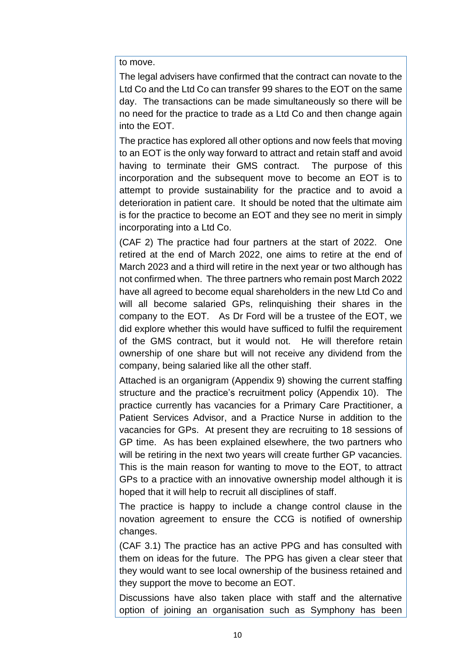to move.

The legal advisers have confirmed that the contract can novate to the Ltd Co and the Ltd Co can transfer 99 shares to the EOT on the same day. The transactions can be made simultaneously so there will be no need for the practice to trade as a Ltd Co and then change again into the EOT.

The practice has explored all other options and now feels that moving to an EOT is the only way forward to attract and retain staff and avoid having to terminate their GMS contract. The purpose of this incorporation and the subsequent move to become an EOT is to attempt to provide sustainability for the practice and to avoid a deterioration in patient care. It should be noted that the ultimate aim is for the practice to become an EOT and they see no merit in simply incorporating into a Ltd Co.

(CAF 2) The practice had four partners at the start of 2022. One retired at the end of March 2022, one aims to retire at the end of March 2023 and a third will retire in the next year or two although has not confirmed when. The three partners who remain post March 2022 have all agreed to become equal shareholders in the new Ltd Co and will all become salaried GPs, relinquishing their shares in the company to the EOT. As Dr Ford will be a trustee of the EOT, we did explore whether this would have sufficed to fulfil the requirement of the GMS contract, but it would not. He will therefore retain ownership of one share but will not receive any dividend from the company, being salaried like all the other staff.

Attached is an organigram (Appendix 9) showing the current staffing structure and the practice's recruitment policy (Appendix 10). The practice currently has vacancies for a Primary Care Practitioner, a Patient Services Advisor, and a Practice Nurse in addition to the vacancies for GPs. At present they are recruiting to 18 sessions of GP time. As has been explained elsewhere, the two partners who will be retiring in the next two years will create further GP vacancies. This is the main reason for wanting to move to the EOT, to attract GPs to a practice with an innovative ownership model although it is hoped that it will help to recruit all disciplines of staff.

The practice is happy to include a change control clause in the novation agreement to ensure the CCG is notified of ownership changes.

(CAF 3.1) The practice has an active PPG and has consulted with them on ideas for the future. The PPG has given a clear steer that they would want to see local ownership of the business retained and they support the move to become an EOT.

Discussions have also taken place with staff and the alternative option of joining an organisation such as Symphony has been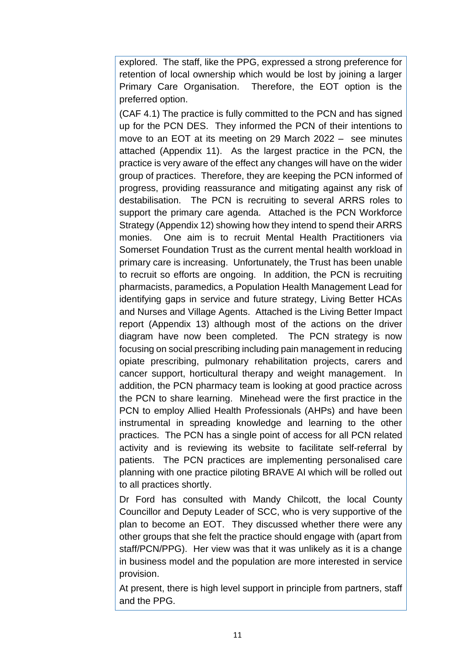explored. The staff, like the PPG, expressed a strong preference for retention of local ownership which would be lost by joining a larger Primary Care Organisation. Therefore, the EOT option is the preferred option.

(CAF 4.1) The practice is fully committed to the PCN and has signed up for the PCN DES. They informed the PCN of their intentions to move to an EOT at its meeting on 29 March 2022 – see minutes attached (Appendix 11). As the largest practice in the PCN, the practice is very aware of the effect any changes will have on the wider group of practices. Therefore, they are keeping the PCN informed of progress, providing reassurance and mitigating against any risk of destabilisation. The PCN is recruiting to several ARRS roles to support the primary care agenda. Attached is the PCN Workforce Strategy (Appendix 12) showing how they intend to spend their ARRS monies. One aim is to recruit Mental Health Practitioners via Somerset Foundation Trust as the current mental health workload in primary care is increasing. Unfortunately, the Trust has been unable to recruit so efforts are ongoing. In addition, the PCN is recruiting pharmacists, paramedics, a Population Health Management Lead for identifying gaps in service and future strategy, Living Better HCAs and Nurses and Village Agents. Attached is the Living Better Impact report (Appendix 13) although most of the actions on the driver diagram have now been completed. The PCN strategy is now focusing on social prescribing including pain management in reducing opiate prescribing, pulmonary rehabilitation projects, carers and cancer support, horticultural therapy and weight management. In addition, the PCN pharmacy team is looking at good practice across the PCN to share learning. Minehead were the first practice in the PCN to employ Allied Health Professionals (AHPs) and have been instrumental in spreading knowledge and learning to the other practices. The PCN has a single point of access for all PCN related activity and is reviewing its website to facilitate self-referral by patients. The PCN practices are implementing personalised care planning with one practice piloting BRAVE AI which will be rolled out to all practices shortly.

Dr Ford has consulted with Mandy Chilcott, the local County Councillor and Deputy Leader of SCC, who is very supportive of the plan to become an EOT. They discussed whether there were any other groups that she felt the practice should engage with (apart from staff/PCN/PPG). Her view was that it was unlikely as it is a change in business model and the population are more interested in service provision.

At present, there is high level support in principle from partners, staff and the PPG.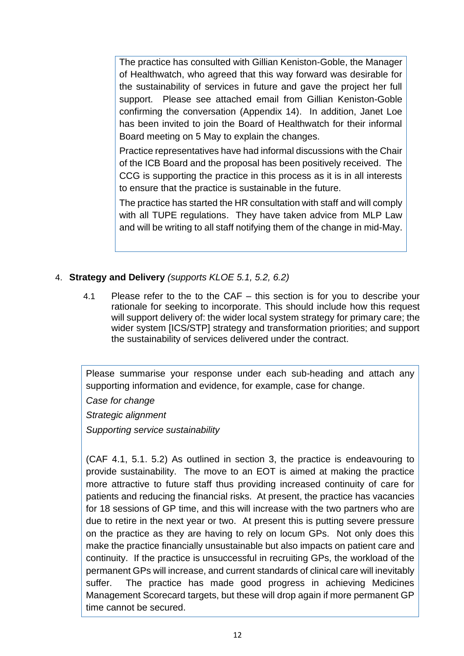The practice has consulted with Gillian Keniston-Goble, the Manager of Healthwatch, who agreed that this way forward was desirable for the sustainability of services in future and gave the project her full support. Please see attached email from Gillian Keniston-Goble confirming the conversation (Appendix 14). In addition, Janet Loe has been invited to join the Board of Healthwatch for their informal Board meeting on 5 May to explain the changes.

Practice representatives have had informal discussions with the Chair of the ICB Board and the proposal has been positively received. The CCG is supporting the practice in this process as it is in all interests to ensure that the practice is sustainable in the future.

The practice has started the HR consultation with staff and will comply with all TUPE regulations. They have taken advice from MLP Law and will be writing to all staff notifying them of the change in mid-May.

## 4. **Strategy and Delivery** *(supports KLOE 5.1, 5.2, 6.2)*

4.1 Please refer to the to the CAF – this section is for you to describe your rationale for seeking to incorporate. This should include how this request will support delivery of: the wider local system strategy for primary care; the wider system [ICS/STP] strategy and transformation priorities; and support the sustainability of services delivered under the contract.

Please summarise your response under each sub-heading and attach any supporting information and evidence, for example, case for change.

*Case for change* 

*Strategic alignment*

*Supporting service sustainability*

(CAF 4.1, 5.1. 5.2) As outlined in section 3, the practice is endeavouring to provide sustainability. The move to an EOT is aimed at making the practice more attractive to future staff thus providing increased continuity of care for patients and reducing the financial risks. At present, the practice has vacancies for 18 sessions of GP time, and this will increase with the two partners who are due to retire in the next year or two. At present this is putting severe pressure on the practice as they are having to rely on locum GPs. Not only does this make the practice financially unsustainable but also impacts on patient care and continuity. If the practice is unsuccessful in recruiting GPs, the workload of the permanent GPs will increase, and current standards of clinical care will inevitably suffer. The practice has made good progress in achieving Medicines Management Scorecard targets, but these will drop again if more permanent GP time cannot be secured.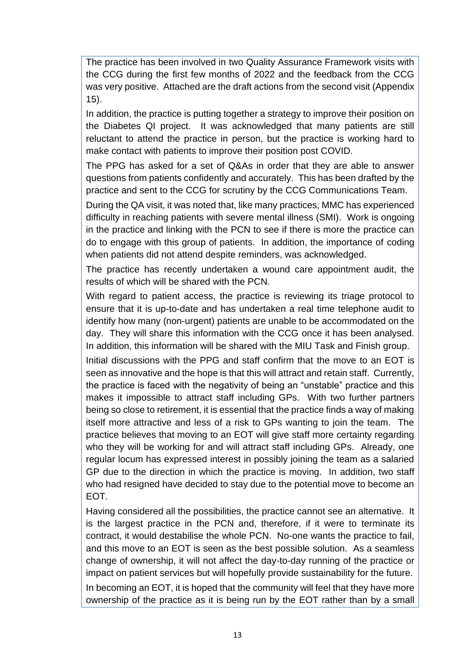The practice has been involved in two Quality Assurance Framework visits with the CCG during the first few months of 2022 and the feedback from the CCG was very positive. Attached are the draft actions from the second visit (Appendix 15).

In addition, the practice is putting together a strategy to improve their position on the Diabetes QI project. It was acknowledged that many patients are still reluctant to attend the practice in person, but the practice is working hard to make contact with patients to improve their position post COVID.

The PPG has asked for a set of Q&As in order that they are able to answer questions from patients confidently and accurately. This has been drafted by the practice and sent to the CCG for scrutiny by the CCG Communications Team.

During the QA visit, it was noted that, like many practices, MMC has experienced difficulty in reaching patients with severe mental illness (SMI). Work is ongoing in the practice and linking with the PCN to see if there is more the practice can do to engage with this group of patients. In addition, the importance of coding when patients did not attend despite reminders, was acknowledged.

The practice has recently undertaken a wound care appointment audit, the results of which will be shared with the PCN.

With regard to patient access, the practice is reviewing its triage protocol to ensure that it is up-to-date and has undertaken a real time telephone audit to identify how many (non-urgent) patients are unable to be accommodated on the day. They will share this information with the CCG once it has been analysed. In addition, this information will be shared with the MIU Task and Finish group.

Initial discussions with the PPG and staff confirm that the move to an EOT is seen as innovative and the hope is that this will attract and retain staff. Currently, the practice is faced with the negativity of being an "unstable" practice and this makes it impossible to attract staff including GPs. With two further partners being so close to retirement, it is essential that the practice finds a way of making itself more attractive and less of a risk to GPs wanting to join the team. The practice believes that moving to an EOT will give staff more certainty regarding who they will be working for and will attract staff including GPs. Already, one regular locum has expressed interest in possibly joining the team as a salaried GP due to the direction in which the practice is moving. In addition, two staff who had resigned have decided to stay due to the potential move to become an EOT.

Having considered all the possibilities, the practice cannot see an alternative. It is the largest practice in the PCN and, therefore, if it were to terminate its contract, it would destabilise the whole PCN. No-one wants the practice to fail, and this move to an EOT is seen as the best possible solution. As a seamless change of ownership, it will not affect the day-to-day running of the practice or impact on patient services but will hopefully provide sustainability for the future. In becoming an EOT, it is hoped that the community will feel that they have more ownership of the practice as it is being run by the EOT rather than by a small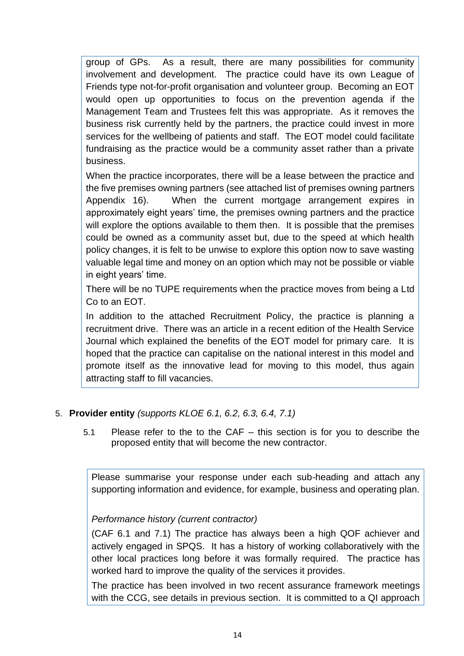group of GPs. As a result, there are many possibilities for community involvement and development. The practice could have its own League of Friends type not-for-profit organisation and volunteer group. Becoming an EOT would open up opportunities to focus on the prevention agenda if the Management Team and Trustees felt this was appropriate. As it removes the business risk currently held by the partners, the practice could invest in more services for the wellbeing of patients and staff. The EOT model could facilitate fundraising as the practice would be a community asset rather than a private business.

When the practice incorporates, there will be a lease between the practice and the five premises owning partners (see attached list of premises owning partners Appendix 16). When the current mortgage arrangement expires in approximately eight years' time, the premises owning partners and the practice will explore the options available to them then. It is possible that the premises could be owned as a community asset but, due to the speed at which health policy changes, it is felt to be unwise to explore this option now to save wasting valuable legal time and money on an option which may not be possible or viable in eight years' time.

There will be no TUPE requirements when the practice moves from being a Ltd Co to an EOT.

In addition to the attached Recruitment Policy, the practice is planning a recruitment drive. There was an article in a recent edition of the Health Service Journal which explained the benefits of the EOT model for primary care. It is hoped that the practice can capitalise on the national interest in this model and promote itself as the innovative lead for moving to this model, thus again attracting staff to fill vacancies.

## 5. **Provider entity** *(supports KLOE 6.1, 6.2, 6.3, 6.4, 7.1)*

5.1 Please refer to the to the CAF – this section is for you to describe the proposed entity that will become the new contractor.

Please summarise your response under each sub-heading and attach any supporting information and evidence, for example, business and operating plan.

## *Performance history (current contractor)*

(CAF 6.1 and 7.1) The practice has always been a high QOF achiever and actively engaged in SPQS. It has a history of working collaboratively with the other local practices long before it was formally required. The practice has worked hard to improve the quality of the services it provides.

The practice has been involved in two recent assurance framework meetings with the CCG, see details in previous section. It is committed to a QI approach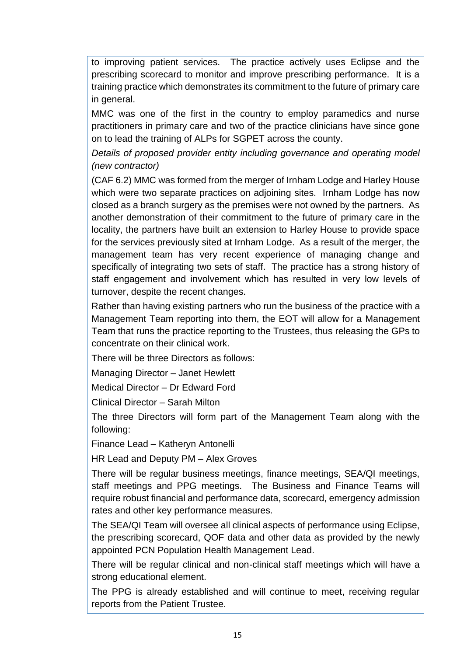to improving patient services. The practice actively uses Eclipse and the prescribing scorecard to monitor and improve prescribing performance. It is a training practice which demonstrates its commitment to the future of primary care in general.

MMC was one of the first in the country to employ paramedics and nurse practitioners in primary care and two of the practice clinicians have since gone on to lead the training of ALPs for SGPET across the county.

*Details of proposed provider entity including governance and operating model (new contractor)*

(CAF 6.2) MMC was formed from the merger of Irnham Lodge and Harley House which were two separate practices on adjoining sites. Irnham Lodge has now closed as a branch surgery as the premises were not owned by the partners. As another demonstration of their commitment to the future of primary care in the locality, the partners have built an extension to Harley House to provide space for the services previously sited at Irnham Lodge. As a result of the merger, the management team has very recent experience of managing change and specifically of integrating two sets of staff. The practice has a strong history of staff engagement and involvement which has resulted in very low levels of turnover, despite the recent changes.

Rather than having existing partners who run the business of the practice with a Management Team reporting into them, the EOT will allow for a Management Team that runs the practice reporting to the Trustees, thus releasing the GPs to concentrate on their clinical work.

There will be three Directors as follows:

Managing Director – Janet Hewlett

Medical Director – Dr Edward Ford

Clinical Director – Sarah Milton

The three Directors will form part of the Management Team along with the following:

Finance Lead – Katheryn Antonelli

HR Lead and Deputy PM – Alex Groves

There will be regular business meetings, finance meetings, SEA/QI meetings, staff meetings and PPG meetings. The Business and Finance Teams will require robust financial and performance data, scorecard, emergency admission rates and other key performance measures.

The SEA/QI Team will oversee all clinical aspects of performance using Eclipse, the prescribing scorecard, QOF data and other data as provided by the newly appointed PCN Population Health Management Lead.

There will be regular clinical and non-clinical staff meetings which will have a strong educational element.

The PPG is already established and will continue to meet, receiving regular reports from the Patient Trustee.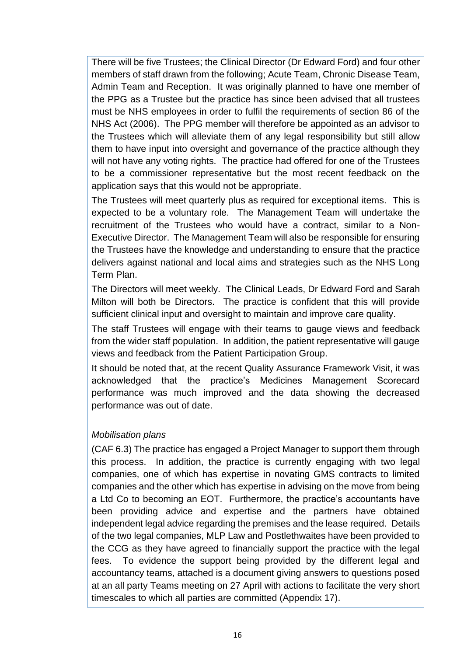There will be five Trustees; the Clinical Director (Dr Edward Ford) and four other members of staff drawn from the following; Acute Team, Chronic Disease Team, Admin Team and Reception. It was originally planned to have one member of the PPG as a Trustee but the practice has since been advised that all trustees must be NHS employees in order to fulfil the requirements of section 86 of the NHS Act (2006). The PPG member will therefore be appointed as an advisor to the Trustees which will alleviate them of any legal responsibility but still allow them to have input into oversight and governance of the practice although they will not have any voting rights. The practice had offered for one of the Trustees to be a commissioner representative but the most recent feedback on the application says that this would not be appropriate.

The Trustees will meet quarterly plus as required for exceptional items. This is expected to be a voluntary role. The Management Team will undertake the recruitment of the Trustees who would have a contract, similar to a Non-Executive Director. The Management Team will also be responsible for ensuring the Trustees have the knowledge and understanding to ensure that the practice delivers against national and local aims and strategies such as the NHS Long Term Plan.

The Directors will meet weekly. The Clinical Leads, Dr Edward Ford and Sarah Milton will both be Directors. The practice is confident that this will provide sufficient clinical input and oversight to maintain and improve care quality.

The staff Trustees will engage with their teams to gauge views and feedback from the wider staff population. In addition, the patient representative will gauge views and feedback from the Patient Participation Group.

It should be noted that, at the recent Quality Assurance Framework Visit, it was acknowledged that the practice's Medicines Management Scorecard performance was much improved and the data showing the decreased performance was out of date.

## *Mobilisation plans*

(CAF 6.3) The practice has engaged a Project Manager to support them through this process. In addition, the practice is currently engaging with two legal companies, one of which has expertise in novating GMS contracts to limited companies and the other which has expertise in advising on the move from being a Ltd Co to becoming an EOT. Furthermore, the practice's accountants have been providing advice and expertise and the partners have obtained independent legal advice regarding the premises and the lease required. Details of the two legal companies, MLP Law and Postlethwaites have been provided to the CCG as they have agreed to financially support the practice with the legal fees. To evidence the support being provided by the different legal and accountancy teams, attached is a document giving answers to questions posed at an all party Teams meeting on 27 April with actions to facilitate the very short timescales to which all parties are committed (Appendix 17).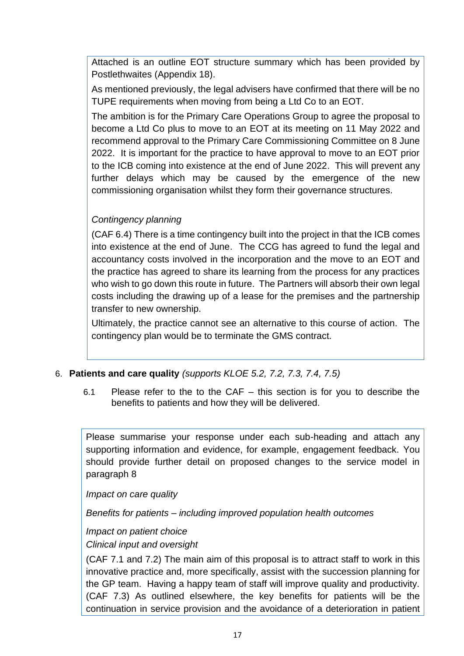Attached is an outline EOT structure summary which has been provided by Postlethwaites (Appendix 18).

As mentioned previously, the legal advisers have confirmed that there will be no TUPE requirements when moving from being a Ltd Co to an EOT.

The ambition is for the Primary Care Operations Group to agree the proposal to become a Ltd Co plus to move to an EOT at its meeting on 11 May 2022 and recommend approval to the Primary Care Commissioning Committee on 8 June 2022. It is important for the practice to have approval to move to an EOT prior to the ICB coming into existence at the end of June 2022. This will prevent any further delays which may be caused by the emergence of the new commissioning organisation whilst they form their governance structures.

# *Contingency planning*

(CAF 6.4) There is a time contingency built into the project in that the ICB comes into existence at the end of June. The CCG has agreed to fund the legal and accountancy costs involved in the incorporation and the move to an EOT and the practice has agreed to share its learning from the process for any practices who wish to go down this route in future. The Partners will absorb their own legal costs including the drawing up of a lease for the premises and the partnership transfer to new ownership.

Ultimately, the practice cannot see an alternative to this course of action. The contingency plan would be to terminate the GMS contract.

## 6. **Patients and care quality** *(supports KLOE 5.2, 7.2, 7.3, 7.4, 7.5)*

6.1 Please refer to the to the CAF – this section is for you to describe the benefits to patients and how they will be delivered.

Please summarise your response under each sub-heading and attach any supporting information and evidence, for example, engagement feedback. You should provide further detail on proposed changes to the service model in paragraph 8

*Impact on care quality* 

*Benefits for patients – including improved population health outcomes*

*Impact on patient choice*

#### *Clinical input and oversight*

(CAF 7.1 and 7.2) The main aim of this proposal is to attract staff to work in this innovative practice and, more specifically, assist with the succession planning for the GP team. Having a happy team of staff will improve quality and productivity. (CAF 7.3) As outlined elsewhere, the key benefits for patients will be the continuation in service provision and the avoidance of a deterioration in patient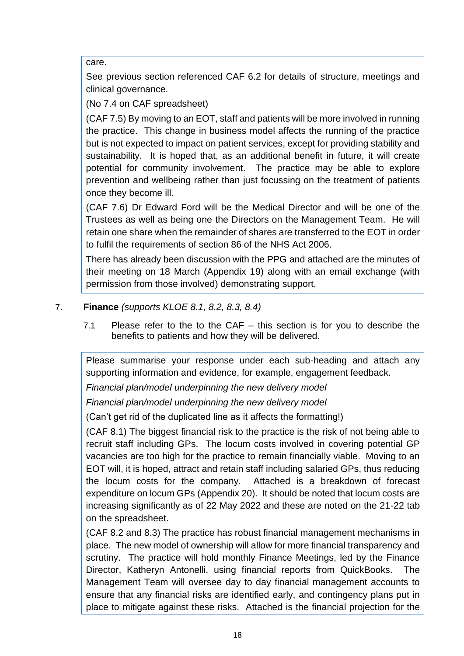care.

See previous section referenced CAF 6.2 for details of structure, meetings and clinical governance.

(No 7.4 on CAF spreadsheet)

(CAF 7.5) By moving to an EOT, staff and patients will be more involved in running the practice. This change in business model affects the running of the practice but is not expected to impact on patient services, except for providing stability and sustainability. It is hoped that, as an additional benefit in future, it will create potential for community involvement. The practice may be able to explore prevention and wellbeing rather than just focussing on the treatment of patients once they become ill.

(CAF 7.6) Dr Edward Ford will be the Medical Director and will be one of the Trustees as well as being one the Directors on the Management Team. He will retain one share when the remainder of shares are transferred to the EOT in order to fulfil the requirements of section 86 of the NHS Act 2006.

There has already been discussion with the PPG and attached are the minutes of their meeting on 18 March (Appendix 19) along with an email exchange (with permission from those involved) demonstrating support.

# 7. **Finance** *(supports KLOE 8.1, 8.2, 8.3, 8.4)*

7.1 Please refer to the to the CAF – this section is for you to describe the benefits to patients and how they will be delivered.

Please summarise your response under each sub-heading and attach any supporting information and evidence, for example, engagement feedback.

*Financial plan/model underpinning the new delivery model* 

*Financial plan/model underpinning the new delivery model* 

(Can't get rid of the duplicated line as it affects the formatting!)

(CAF 8.1) The biggest financial risk to the practice is the risk of not being able to recruit staff including GPs. The locum costs involved in covering potential GP vacancies are too high for the practice to remain financially viable. Moving to an EOT will, it is hoped, attract and retain staff including salaried GPs, thus reducing the locum costs for the company. Attached is a breakdown of forecast expenditure on locum GPs (Appendix 20). It should be noted that locum costs are increasing significantly as of 22 May 2022 and these are noted on the 21-22 tab on the spreadsheet.

(CAF 8.2 and 8.3) The practice has robust financial management mechanisms in place. The new model of ownership will allow for more financial transparency and scrutiny. The practice will hold monthly Finance Meetings, led by the Finance Director, Katheryn Antonelli, using financial reports from QuickBooks. The Management Team will oversee day to day financial management accounts to ensure that any financial risks are identified early, and contingency plans put in place to mitigate against these risks. Attached is the financial projection for the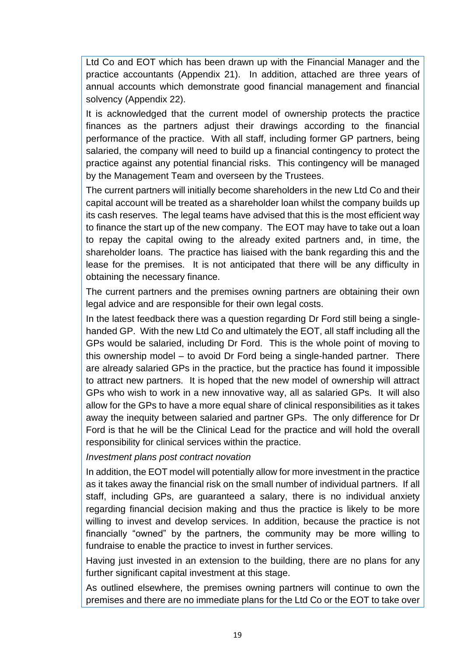Ltd Co and EOT which has been drawn up with the Financial Manager and the practice accountants (Appendix 21). In addition, attached are three years of annual accounts which demonstrate good financial management and financial solvency (Appendix 22).

It is acknowledged that the current model of ownership protects the practice finances as the partners adjust their drawings according to the financial performance of the practice. With all staff, including former GP partners, being salaried, the company will need to build up a financial contingency to protect the practice against any potential financial risks. This contingency will be managed by the Management Team and overseen by the Trustees.

The current partners will initially become shareholders in the new Ltd Co and their capital account will be treated as a shareholder loan whilst the company builds up its cash reserves. The legal teams have advised that this is the most efficient way to finance the start up of the new company. The EOT may have to take out a loan to repay the capital owing to the already exited partners and, in time, the shareholder loans. The practice has liaised with the bank regarding this and the lease for the premises. It is not anticipated that there will be any difficulty in obtaining the necessary finance.

The current partners and the premises owning partners are obtaining their own legal advice and are responsible for their own legal costs.

In the latest feedback there was a question regarding Dr Ford still being a singlehanded GP. With the new Ltd Co and ultimately the EOT, all staff including all the GPs would be salaried, including Dr Ford. This is the whole point of moving to this ownership model – to avoid Dr Ford being a single-handed partner. There are already salaried GPs in the practice, but the practice has found it impossible to attract new partners. It is hoped that the new model of ownership will attract GPs who wish to work in a new innovative way, all as salaried GPs. It will also allow for the GPs to have a more equal share of clinical responsibilities as it takes away the inequity between salaried and partner GPs. The only difference for Dr Ford is that he will be the Clinical Lead for the practice and will hold the overall responsibility for clinical services within the practice.

*Investment plans post contract novation*

In addition, the EOT model will potentially allow for more investment in the practice as it takes away the financial risk on the small number of individual partners. If all staff, including GPs, are guaranteed a salary, there is no individual anxiety regarding financial decision making and thus the practice is likely to be more willing to invest and develop services. In addition, because the practice is not financially "owned" by the partners, the community may be more willing to fundraise to enable the practice to invest in further services.

Having just invested in an extension to the building, there are no plans for any further significant capital investment at this stage.

As outlined elsewhere, the premises owning partners will continue to own the premises and there are no immediate plans for the Ltd Co or the EOT to take over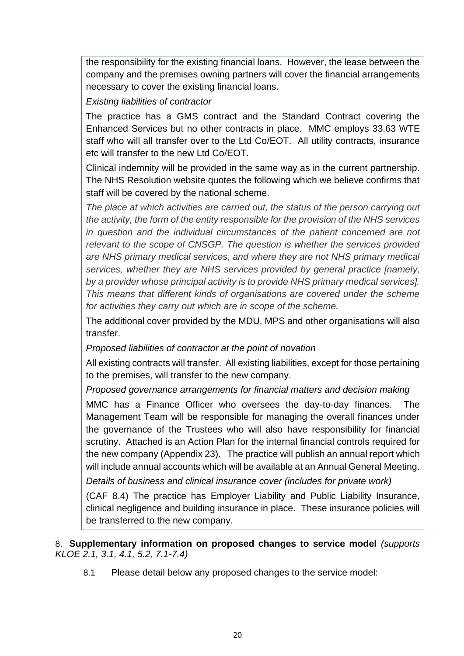the responsibility for the existing financial loans. However, the lease between the company and the premises owning partners will cover the financial arrangements necessary to cover the existing financial loans.

*Existing liabilities of contractor* 

The practice has a GMS contract and the Standard Contract covering the Enhanced Services but no other contracts in place. MMC employs 33.63 WTE staff who will all transfer over to the Ltd Co/EOT. All utility contracts, insurance etc will transfer to the new Ltd Co/EOT.

Clinical indemnity will be provided in the same way as in the current partnership. The NHS Resolution website quotes the following which we believe confirms that staff will be covered by the national scheme.

*The place at which activities are carried out, the status of the person carrying out the activity, the form of the entity responsible for the provision of the NHS services in question and the individual circumstances of the patient concerned are not relevant to the scope of CNSGP. The question is whether the services provided are NHS primary medical services, and where they are not NHS primary medical services, whether they are NHS services provided by general practice [namely, by a provider whose principal activity is to provide NHS primary medical services]. This means that different kinds of organisations are covered under the scheme for activities they carry out which are in scope of the scheme.*

The additional cover provided by the MDU, MPS and other organisations will also transfer.

*Proposed liabilities of contractor at the point of novation* 

All existing contracts will transfer. All existing liabilities, except for those pertaining to the premises, will transfer to the new company.

*Proposed governance arrangements for financial matters and decision making*

MMC has a Finance Officer who oversees the day-to-day finances. The Management Team will be responsible for managing the overall finances under the governance of the Trustees who will also have responsibility for financial scrutiny. Attached is an Action Plan for the internal financial controls required for the new company (Appendix 23). The practice will publish an annual report which will include annual accounts which will be available at an Annual General Meeting.

*Details of business and clinical insurance cover (includes for private work)*

(CAF 8.4) The practice has Employer Liability and Public Liability Insurance, clinical negligence and building insurance in place. These insurance policies will be transferred to the new company.

8. **Supplementary information on proposed changes to service model** *(supports KLOE 2.1, 3.1, 4.1, 5.2, 7.1-7.4)*

8.1 Please detail below any proposed changes to the service model: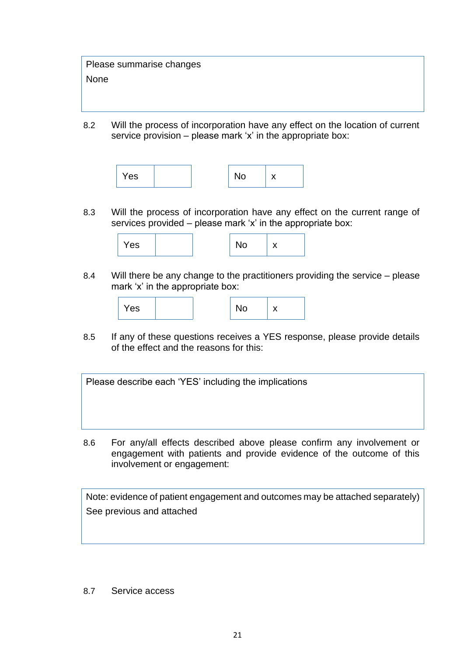Please summarise changes None

8.2 Will the process of incorporation have any effect on the location of current service provision – please mark 'x' in the appropriate box:



8.3 Will the process of incorporation have any effect on the current range of services provided – please mark 'x' in the appropriate box:



8.4 Will there be any change to the practitioners providing the service – please mark 'x' in the appropriate box:



8.5 If any of these questions receives a YES response, please provide details of the effect and the reasons for this:

Please describe each 'YES' including the implications

8.6 For any/all effects described above please confirm any involvement or engagement with patients and provide evidence of the outcome of this involvement or engagement:

Note: evidence of patient engagement and outcomes may be attached separately) See previous and attached

8.7 Service access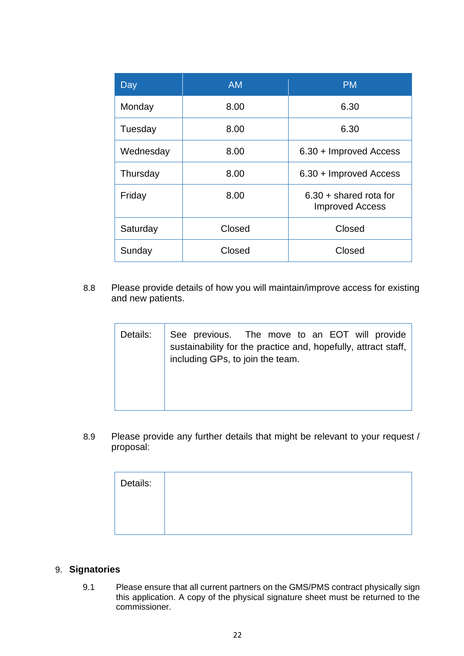| Day       | <b>AM</b>        | <b>PM</b>                                          |  |
|-----------|------------------|----------------------------------------------------|--|
| Monday    | 8.00             | 6.30                                               |  |
| Tuesday   | 8.00             | 6.30                                               |  |
| Wednesday | 8.00             | 6.30 + Improved Access                             |  |
| Thursday  | 8.00             | 6.30 + Improved Access                             |  |
| Friday    | 8.00             | $6.30 + shared$ rota for<br><b>Improved Access</b> |  |
| Saturday  | Closed           | Closed                                             |  |
| Sunday    | Closed<br>Closed |                                                    |  |

8.8 Please provide details of how you will maintain/improve access for existing and new patients.

| Details: | See previous. The move to an EOT will provide<br>sustainability for the practice and, hopefully, attract staff,  <br>including GPs, to join the team. |
|----------|-------------------------------------------------------------------------------------------------------------------------------------------------------|
|----------|-------------------------------------------------------------------------------------------------------------------------------------------------------|

8.9 Please provide any further details that might be relevant to your request / proposal:

| Details: |  |  |  |
|----------|--|--|--|
|          |  |  |  |
|          |  |  |  |

#### 9. **Signatories**

9.1 Please ensure that all current partners on the GMS/PMS contract physically sign this application. A copy of the physical signature sheet must be returned to the commissioner.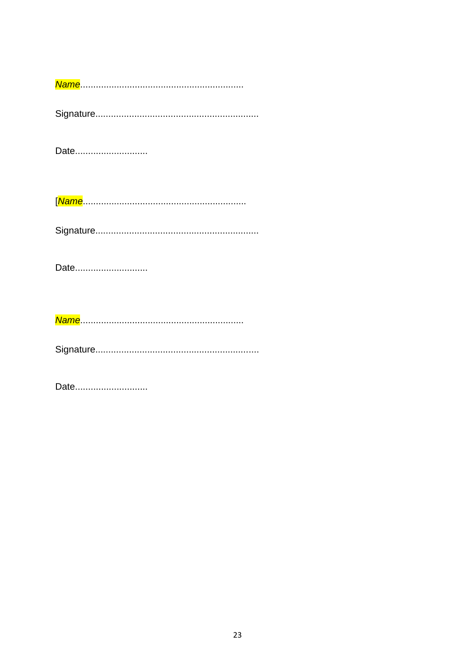Date.............................

Date............................

Date.............................